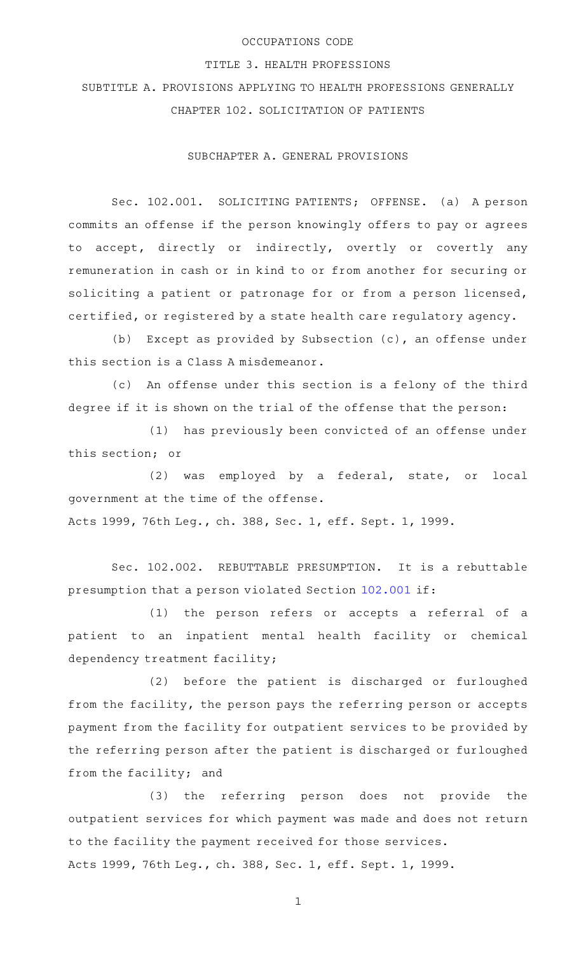## OCCUPATIONS CODE

## TITLE 3. HEALTH PROFESSIONS

SUBTITLE A. PROVISIONS APPLYING TO HEALTH PROFESSIONS GENERALLY CHAPTER 102. SOLICITATION OF PATIENTS

SUBCHAPTER A. GENERAL PROVISIONS

Sec. 102.001. SOLICITING PATIENTS; OFFENSE. (a) A person commits an offense if the person knowingly offers to pay or agrees to accept, directly or indirectly, overtly or covertly any remuneration in cash or in kind to or from another for securing or soliciting a patient or patronage for or from a person licensed, certified, or registered by a state health care regulatory agency.

(b) Except as provided by Subsection  $(c)$ , an offense under this section is a Class A misdemeanor.

(c) An offense under this section is a felony of the third degree if it is shown on the trial of the offense that the person:

(1) has previously been convicted of an offense under this section; or

(2) was employed by a federal, state, or local government at the time of the offense. Acts 1999, 76th Leg., ch. 388, Sec. 1, eff. Sept. 1, 1999.

Sec. 102.002. REBUTTABLE PRESUMPTION. It is a rebuttable presumption that a person violated Section [102.001](http://www.statutes.legis.state.tx.us/GetStatute.aspx?Code=OC&Value=102.001) if:

(1) the person refers or accepts a referral of a patient to an inpatient mental health facility or chemical dependency treatment facility;

 $(2)$  before the patient is discharged or furloughed from the facility, the person pays the referring person or accepts payment from the facility for outpatient services to be provided by the referring person after the patient is discharged or furloughed from the facility; and

(3) the referring person does not provide the outpatient services for which payment was made and does not return to the facility the payment received for those services. Acts 1999, 76th Leg., ch. 388, Sec. 1, eff. Sept. 1, 1999.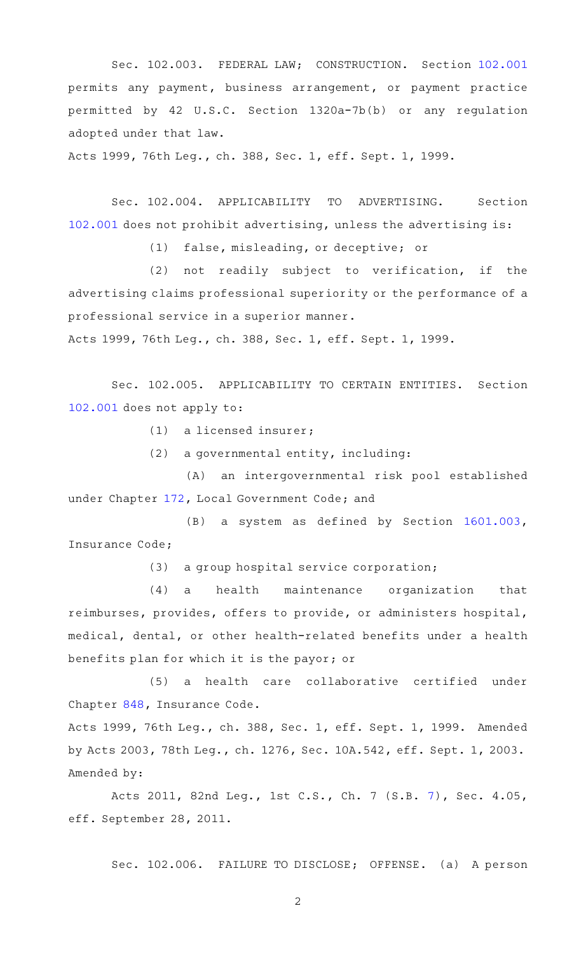Sec. 102.003. FEDERAL LAW; CONSTRUCTION. Section [102.001](http://www.statutes.legis.state.tx.us/GetStatute.aspx?Code=OC&Value=102.001) permits any payment, business arrangement, or payment practice permitted by 42 U.S.C. Section 1320a-7b(b) or any regulation adopted under that law.

Acts 1999, 76th Leg., ch. 388, Sec. 1, eff. Sept. 1, 1999.

Sec. 102.004. APPLICABILITY TO ADVERTISING. Section [102.001](http://www.statutes.legis.state.tx.us/GetStatute.aspx?Code=OC&Value=102.001) does not prohibit advertising, unless the advertising is:

(1) false, misleading, or deceptive; or

 $(2)$  not readily subject to verification, if the advertising claims professional superiority or the performance of a professional service in a superior manner.

Acts 1999, 76th Leg., ch. 388, Sec. 1, eff. Sept. 1, 1999.

Sec. 102.005. APPLICABILITY TO CERTAIN ENTITIES. Section [102.001](http://www.statutes.legis.state.tx.us/GetStatute.aspx?Code=OC&Value=102.001) does not apply to:

 $(1)$  a licensed insurer;

 $(2)$  a governmental entity, including:

(A) an intergovernmental risk pool established under Chapter [172](http://www.statutes.legis.state.tx.us/GetStatute.aspx?Code=LG&Value=172), Local Government Code; and

(B) a system as defined by Section [1601.003](http://www.statutes.legis.state.tx.us/GetStatute.aspx?Code=IN&Value=1601.003), Insurance Code;

 $(3)$  a group hospital service corporation;

(4) a health maintenance organization that reimburses, provides, offers to provide, or administers hospital, medical, dental, or other health-related benefits under a health benefits plan for which it is the payor; or

(5) a health care collaborative certified under Chapter [848,](http://www.statutes.legis.state.tx.us/GetStatute.aspx?Code=IN&Value=848) Insurance Code.

Acts 1999, 76th Leg., ch. 388, Sec. 1, eff. Sept. 1, 1999. Amended by Acts 2003, 78th Leg., ch. 1276, Sec. 10A.542, eff. Sept. 1, 2003. Amended by:

Acts 2011, 82nd Leg., 1st C.S., Ch. 7 (S.B. [7](http://www.legis.state.tx.us/tlodocs/821/billtext/html/SB00007F.HTM)), Sec. 4.05, eff. September 28, 2011.

Sec. 102.006. FAILURE TO DISCLOSE; OFFENSE. (a) A person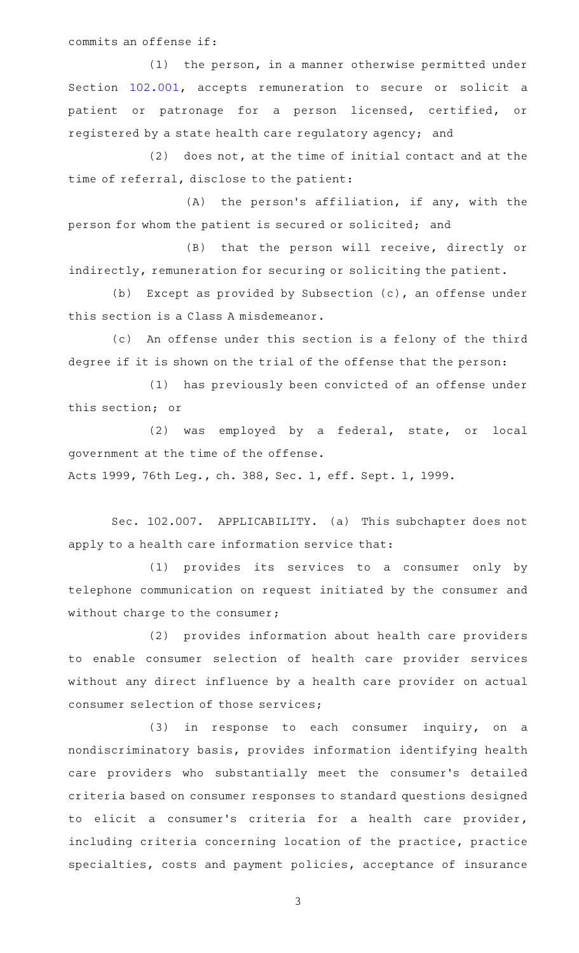commits an offense if:

(1) the person, in a manner otherwise permitted under Section [102.001](http://www.statutes.legis.state.tx.us/GetStatute.aspx?Code=OC&Value=102.001), accepts remuneration to secure or solicit a patient or patronage for a person licensed, certified, or registered by a state health care regulatory agency; and

 $(2)$  does not, at the time of initial contact and at the time of referral, disclose to the patient:

 $(A)$  the person's affiliation, if any, with the person for whom the patient is secured or solicited; and

(B) that the person will receive, directly or indirectly, remuneration for securing or soliciting the patient.

(b) Except as provided by Subsection  $(c)$ , an offense under this section is a Class A misdemeanor.

(c) An offense under this section is a felony of the third degree if it is shown on the trial of the offense that the person:

(1) has previously been convicted of an offense under this section; or

(2) was employed by a federal, state, or local government at the time of the offense.

Acts 1999, 76th Leg., ch. 388, Sec. 1, eff. Sept. 1, 1999.

Sec. 102.007. APPLICABILITY. (a) This subchapter does not apply to a health care information service that:

(1) provides its services to a consumer only by telephone communication on request initiated by the consumer and without charge to the consumer;

(2) provides information about health care providers to enable consumer selection of health care provider services without any direct influence by a health care provider on actual consumer selection of those services;

 $(3)$  in response to each consumer inquiry, on a nondiscriminatory basis, provides information identifying health care providers who substantially meet the consumer 's detailed criteria based on consumer responses to standard questions designed to elicit a consumer 's criteria for a health care provider, including criteria concerning location of the practice, practice specialties, costs and payment policies, acceptance of insurance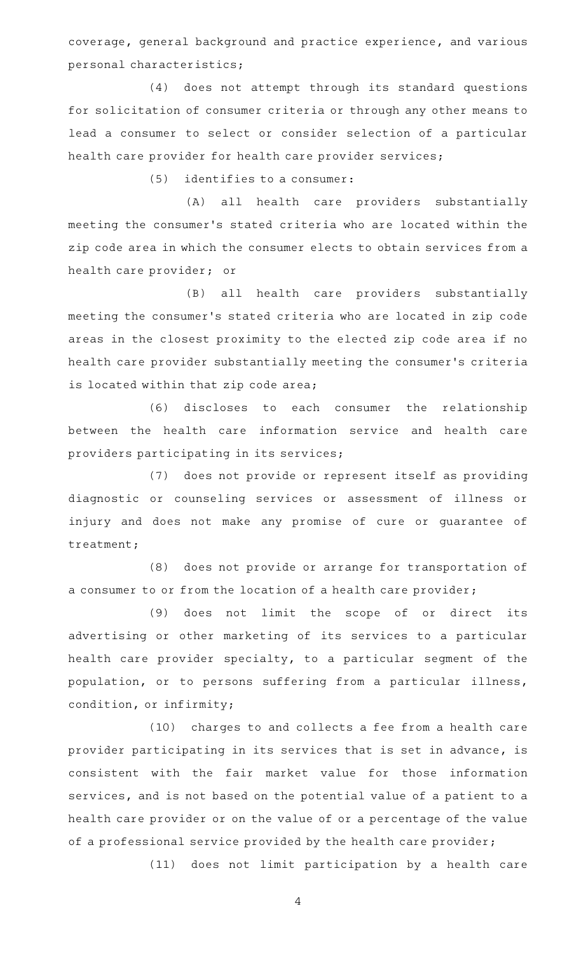coverage, general background and practice experience, and various personal characteristics;

(4) does not attempt through its standard questions for solicitation of consumer criteria or through any other means to lead a consumer to select or consider selection of a particular health care provider for health care provider services;

 $(5)$  identifies to a consumer:

(A) all health care providers substantially meeting the consumer 's stated criteria who are located within the zip code area in which the consumer elects to obtain services from a health care provider; or

(B) all health care providers substantially meeting the consumer 's stated criteria who are located in zip code areas in the closest proximity to the elected zip code area if no health care provider substantially meeting the consumer 's criteria is located within that zip code area;

(6) discloses to each consumer the relationship between the health care information service and health care providers participating in its services;

(7) does not provide or represent itself as providing diagnostic or counseling services or assessment of illness or injury and does not make any promise of cure or guarantee of treatment;

(8) does not provide or arrange for transportation of a consumer to or from the location of a health care provider;

(9) does not limit the scope of or direct its advertising or other marketing of its services to a particular health care provider specialty, to a particular segment of the population, or to persons suffering from a particular illness, condition, or infirmity;

(10) charges to and collects a fee from a health care provider participating in its services that is set in advance, is consistent with the fair market value for those information services, and is not based on the potential value of a patient to a health care provider or on the value of or a percentage of the value of a professional service provided by the health care provider;

(11) does not limit participation by a health care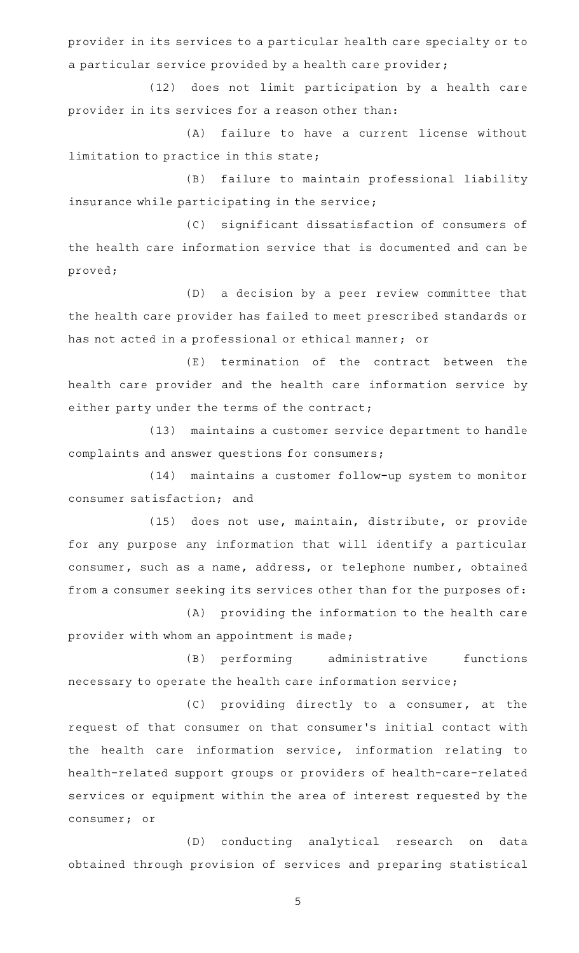provider in its services to a particular health care specialty or to a particular service provided by a health care provider;

(12) does not limit participation by a health care provider in its services for a reason other than:

(A) failure to have a current license without limitation to practice in this state;

(B) failure to maintain professional liability insurance while participating in the service;

(C) significant dissatisfaction of consumers of the health care information service that is documented and can be proved;

(D) a decision by a peer review committee that the health care provider has failed to meet prescribed standards or has not acted in a professional or ethical manner; or

 $(E)$  termination of the contract between the health care provider and the health care information service by either party under the terms of the contract;

(13) maintains a customer service department to handle complaints and answer questions for consumers;

(14) maintains a customer follow-up system to monitor consumer satisfaction; and

(15) does not use, maintain, distribute, or provide for any purpose any information that will identify a particular consumer, such as a name, address, or telephone number, obtained from a consumer seeking its services other than for the purposes of:

(A) providing the information to the health care provider with whom an appointment is made;

(B) performing administrative functions necessary to operate the health care information service;

 $(C)$  providing directly to a consumer, at the request of that consumer on that consumer 's initial contact with the health care information service, information relating to health-related support groups or providers of health-care-related services or equipment within the area of interest requested by the consumer; or

(D) conducting analytical research on data obtained through provision of services and preparing statistical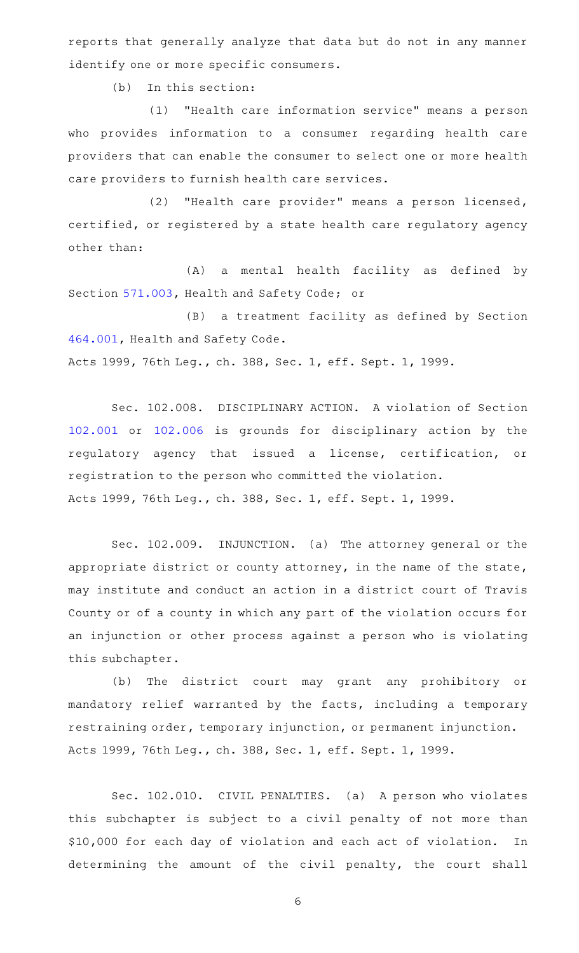reports that generally analyze that data but do not in any manner identify one or more specific consumers.

 $(b)$  In this section:

(1) "Health care information service" means a person who provides information to a consumer regarding health care providers that can enable the consumer to select one or more health care providers to furnish health care services.

(2) "Health care provider" means a person licensed, certified, or registered by a state health care regulatory agency other than:

(A) a mental health facility as defined by Section [571.003,](http://www.statutes.legis.state.tx.us/GetStatute.aspx?Code=HS&Value=571.003) Health and Safety Code; or

(B) a treatment facility as defined by Section [464.001,](http://www.statutes.legis.state.tx.us/GetStatute.aspx?Code=HS&Value=464.001) Health and Safety Code. Acts 1999, 76th Leg., ch. 388, Sec. 1, eff. Sept. 1, 1999.

Sec. 102.008. DISCIPLINARY ACTION. A violation of Section [102.001](http://www.statutes.legis.state.tx.us/GetStatute.aspx?Code=OC&Value=102.001) or [102.006](http://www.statutes.legis.state.tx.us/GetStatute.aspx?Code=OC&Value=102.006) is grounds for disciplinary action by the regulatory agency that issued a license, certification, or registration to the person who committed the violation. Acts 1999, 76th Leg., ch. 388, Sec. 1, eff. Sept. 1, 1999.

Sec. 102.009. INJUNCTION. (a) The attorney general or the appropriate district or county attorney, in the name of the state, may institute and conduct an action in a district court of Travis County or of a county in which any part of the violation occurs for an injunction or other process against a person who is violating this subchapter.

(b) The district court may grant any prohibitory or mandatory relief warranted by the facts, including a temporary restraining order, temporary injunction, or permanent injunction. Acts 1999, 76th Leg., ch. 388, Sec. 1, eff. Sept. 1, 1999.

Sec. 102.010. CIVIL PENALTIES. (a) A person who violates this subchapter is subject to a civil penalty of not more than \$10,000 for each day of violation and each act of violation. In determining the amount of the civil penalty, the court shall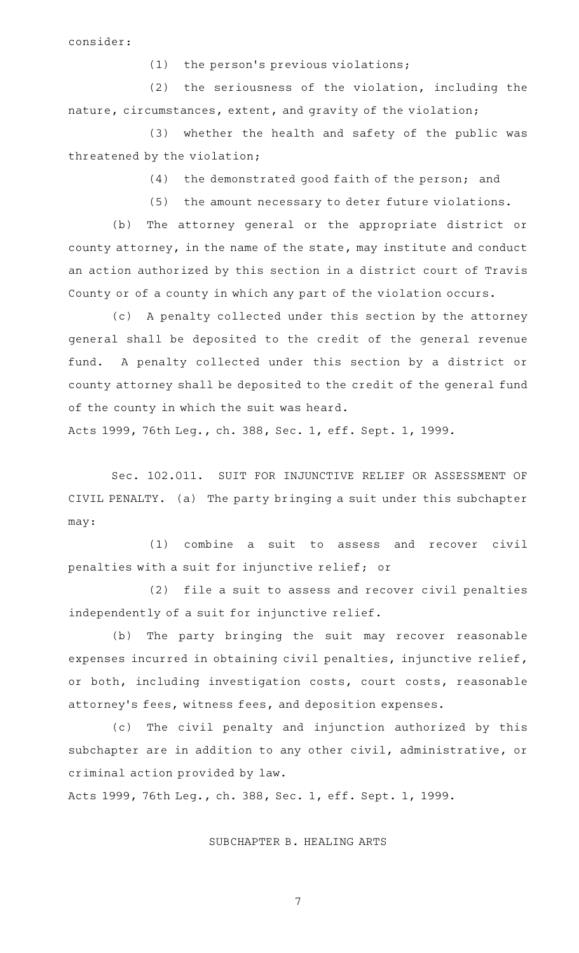consider:

 $(1)$  the person's previous violations;

 $(2)$  the seriousness of the violation, including the nature, circumstances, extent, and gravity of the violation;

(3) whether the health and safety of the public was threatened by the violation;

(4) the demonstrated good faith of the person; and

(5) the amount necessary to deter future violations.

(b) The attorney general or the appropriate district or county attorney, in the name of the state, may institute and conduct an action authorized by this section in a district court of Travis County or of a county in which any part of the violation occurs.

(c) A penalty collected under this section by the attorney general shall be deposited to the credit of the general revenue fund. A penalty collected under this section by a district or county attorney shall be deposited to the credit of the general fund of the county in which the suit was heard.

Acts 1999, 76th Leg., ch. 388, Sec. 1, eff. Sept. 1, 1999.

Sec. 102.011. SUIT FOR INJUNCTIVE RELIEF OR ASSESSMENT OF CIVIL PENALTY. (a) The party bringing a suit under this subchapter may:

(1) combine a suit to assess and recover civil penalties with a suit for injunctive relief; or

(2) file a suit to assess and recover civil penalties independently of a suit for injunctive relief.

(b) The party bringing the suit may recover reasonable expenses incurred in obtaining civil penalties, injunctive relief, or both, including investigation costs, court costs, reasonable attorney's fees, witness fees, and deposition expenses.

(c) The civil penalty and injunction authorized by this subchapter are in addition to any other civil, administrative, or criminal action provided by law.

Acts 1999, 76th Leg., ch. 388, Sec. 1, eff. Sept. 1, 1999.

SUBCHAPTER B. HEALING ARTS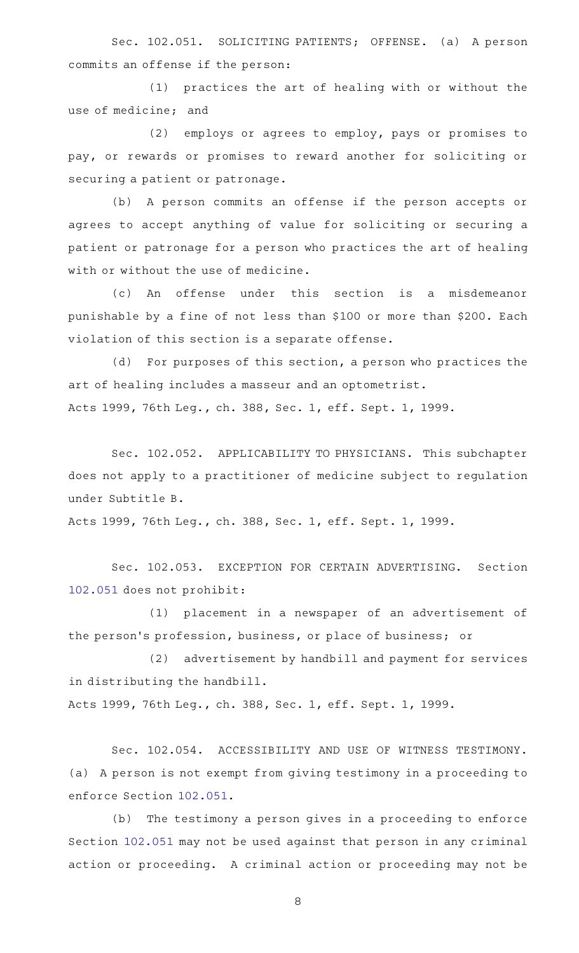Sec. 102.051. SOLICITING PATIENTS; OFFENSE. (a) A person commits an offense if the person:

(1) practices the art of healing with or without the use of medicine; and

 $(2)$  employs or agrees to employ, pays or promises to pay, or rewards or promises to reward another for soliciting or securing a patient or patronage.

(b) A person commits an offense if the person accepts or agrees to accept anything of value for soliciting or securing a patient or patronage for a person who practices the art of healing with or without the use of medicine.

(c) An offense under this section is a misdemeanor punishable by a fine of not less than \$100 or more than \$200. Each violation of this section is a separate offense.

(d) For purposes of this section, a person who practices the art of healing includes a masseur and an optometrist. Acts 1999, 76th Leg., ch. 388, Sec. 1, eff. Sept. 1, 1999.

Sec. 102.052. APPLICABILITY TO PHYSICIANS. This subchapter does not apply to a practitioner of medicine subject to regulation under Subtitle B.

Acts 1999, 76th Leg., ch. 388, Sec. 1, eff. Sept. 1, 1999.

Sec. 102.053. EXCEPTION FOR CERTAIN ADVERTISING. Section [102.051](http://www.statutes.legis.state.tx.us/GetStatute.aspx?Code=OC&Value=102.051) does not prohibit:

(1) placement in a newspaper of an advertisement of the person's profession, business, or place of business; or

(2) advertisement by handbill and payment for services in distributing the handbill.

Acts 1999, 76th Leg., ch. 388, Sec. 1, eff. Sept. 1, 1999.

Sec. 102.054. ACCESSIBILITY AND USE OF WITNESS TESTIMONY. (a) A person is not exempt from giving testimony in a proceeding to enforce Section [102.051.](http://www.statutes.legis.state.tx.us/GetStatute.aspx?Code=OC&Value=102.051)

(b) The testimony a person gives in a proceeding to enforce Section [102.051](http://www.statutes.legis.state.tx.us/GetStatute.aspx?Code=OC&Value=102.051) may not be used against that person in any criminal action or proceeding. A criminal action or proceeding may not be